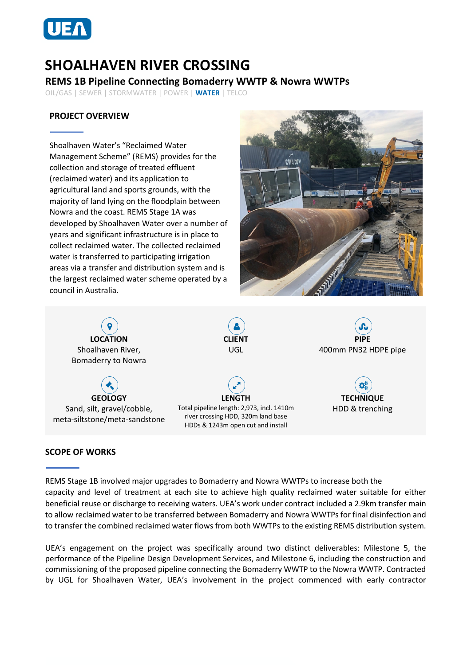

# **SHOALHAVEN RIVER CROSSING**

## **REMS 1B Pipeline Connecting Bomaderry WWTP & Nowra WWTPs**

OIL/GAS | SEWER | STORMWATER | POWER | **WATER** | TELCO

## **PROJECT OVERVIEW**

Shoalhaven Water's "Reclaimed Water Management Scheme" (REMS) provides for the collection and storage of treated effluent (reclaimed water) and its application to agricultural land and sports grounds, with the majority of land lying on the floodplain between Nowra and the coast. REMS Stage 1A was developed by Shoalhaven Water over a number of years and significant infrastructure is in place to collect reclaimed water. The collected reclaimed water is transferred to participating irrigation areas via a transfer and distribution system and is the largest reclaimed water scheme operated by a council in Australia.



**LOCATION** Shoalhaven River, Bomaderry to Nowra

**GEOLOGY** Sand, silt, gravel/cobble, meta-siltstone/meta-sandstone



**LENGTH** Total pipeline length: 2,973, incl. 1410m river crossing HDD, 320m land base HDDs & 1243m open cut and install



**TECHNIQUE** HDD & trenching

#### **SCOPE OF WORKS**

REMS Stage 1B involved major upgrades to Bomaderry and Nowra WWTPs to increase both the capacity and level of treatment at each site to achieve high quality reclaimed water suitable for either beneficial reuse or discharge to receiving waters. UEA's work under contract included a 2.9km transfer main to allow reclaimed water to be transferred between Bomaderry and Nowra WWTPs for final disinfection and to transfer the combined reclaimed water flows from both WWTPs to the existing REMS distribution system.

UEA's engagement on the project was specifically around two distinct deliverables: Milestone 5, the performance of the Pipeline Design Development Services, and Milestone 6, including the construction and commissioning of the proposed pipeline connecting the Bomaderry WWTP to the Nowra WWTP. Contracted by UGL for Shoalhaven Water, UEA's involvement in the project commenced with early contractor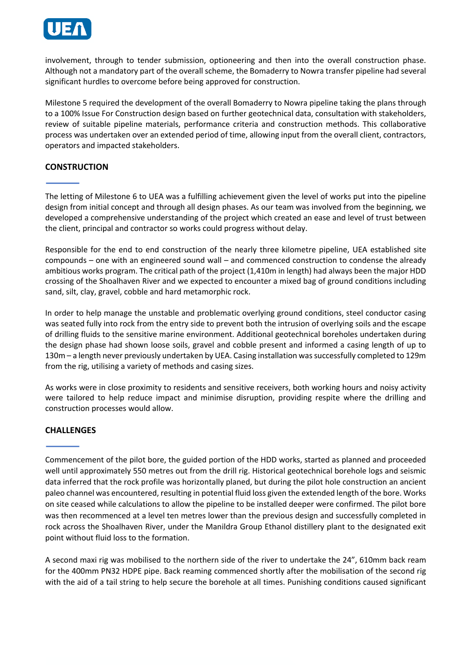

involvement, through to tender submission, optioneering and then into the overall construction phase. Although not a mandatory part of the overall scheme, the Bomaderry to Nowra transfer pipeline had several significant hurdles to overcome before being approved for construction.

Milestone 5 required the development of the overall Bomaderry to Nowra pipeline taking the plans through to a 100% Issue For Construction design based on further geotechnical data, consultation with stakeholders, review of suitable pipeline materials, performance criteria and construction methods. This collaborative process was undertaken over an extended period of time, allowing input from the overall client, contractors, operators and impacted stakeholders.

## **CONSTRUCTION**

The letting of Milestone 6 to UEA was a fulfilling achievement given the level of works put into the pipeline design from initial concept and through all design phases. As our team was involved from the beginning, we developed a comprehensive understanding of the project which created an ease and level of trust between the client, principal and contractor so works could progress without delay.

Responsible for the end to end construction of the nearly three kilometre pipeline, UEA established site compounds – one with an engineered sound wall – and commenced construction to condense the already ambitious works program. The critical path of the project (1,410m in length) had always been the major HDD crossing of the Shoalhaven River and we expected to encounter a mixed bag of ground conditions including sand, silt, clay, gravel, cobble and hard metamorphic rock.

In order to help manage the unstable and problematic overlying ground conditions, steel conductor casing was seated fully into rock from the entry side to prevent both the intrusion of overlying soils and the escape of drilling fluids to the sensitive marine environment. Additional geotechnical boreholes undertaken during the design phase had shown loose soils, gravel and cobble present and informed a casing length of up to 130m – a length never previously undertaken by UEA. Casing installation was successfully completed to 129m from the rig, utilising a variety of methods and casing sizes.

As works were in close proximity to residents and sensitive receivers, both working hours and noisy activity were tailored to help reduce impact and minimise disruption, providing respite where the drilling and construction processes would allow.

#### **CHALLENGES**

Commencement of the pilot bore, the guided portion of the HDD works, started as planned and proceeded well until approximately 550 metres out from the drill rig. Historical geotechnical borehole logs and seismic data inferred that the rock profile was horizontally planed, but during the pilot hole construction an ancient paleo channel was encountered, resulting in potential fluid loss given the extended length of the bore. Works on site ceased while calculations to allow the pipeline to be installed deeper were confirmed. The pilot bore was then recommenced at a level ten metres lower than the previous design and successfully completed in rock across the Shoalhaven River, under the Manildra Group Ethanol distillery plant to the designated exit point without fluid loss to the formation.

A second maxi rig was mobilised to the northern side of the river to undertake the 24", 610mm back ream for the 400mm PN32 HDPE pipe. Back reaming commenced shortly after the mobilisation of the second rig with the aid of a tail string to help secure the borehole at all times. Punishing conditions caused significant